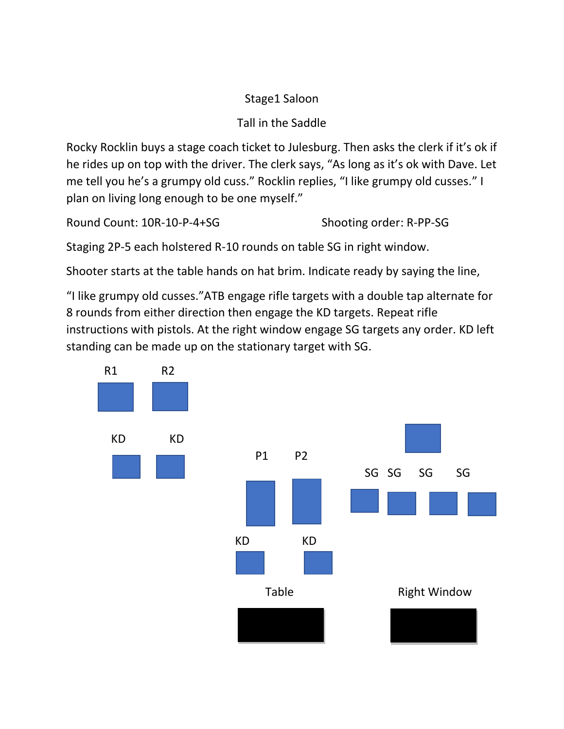## Stage1 Saloon

# Tall in the Saddle

Rocky Rocklin buys a stage coach ticket to Julesburg. Then asks the clerk if it's ok if he rides up on top with the driver. The clerk says, "As long as it's ok with Dave. Let me tell you he's a grumpy old cuss." Rocklin replies, "I like grumpy old cusses." I plan on living long enough to be one myself."

Round Count: 10R-10-P-4+SG Shooting order: R-PP-SG

Staging 2P-5 each holstered R-10 rounds on table SG in right window.

Shooter starts at the table hands on hat brim. Indicate ready by saying the line,

"I like grumpy old cusses."ATB engage rifle targets with a double tap alternate for 8 rounds from either direction then engage the KD targets. Repeat rifle instructions with pistols. At the right window engage SG targets any order. KD left standing can be made up on the stationary target with SG.

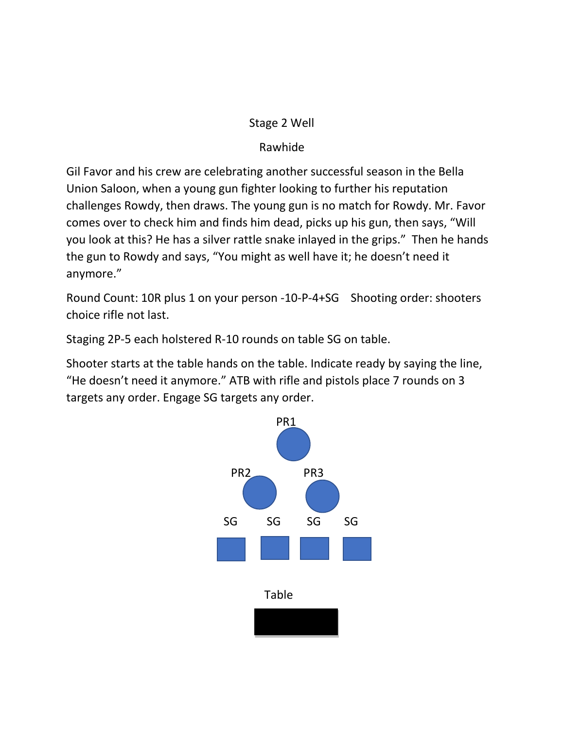### Stage 2 Well

## Rawhide

Gil Favor and his crew are celebrating another successful season in the Bella Union Saloon, when a young gun fighter looking to further his reputation challenges Rowdy, then draws. The young gun is no match for Rowdy. Mr. Favor comes over to check him and finds him dead, picks up his gun, then says, "Will you look at this? He has a silver rattle snake inlayed in the grips." Then he hands the gun to Rowdy and says, "You might as well have it; he doesn't need it anymore."

Round Count: 10R plus 1 on your person -10-P-4+SG Shooting order: shooters choice rifle not last.

Staging 2P-5 each holstered R-10 rounds on table SG on table.

Shooter starts at the table hands on the table. Indicate ready by saying the line, "He doesn't need it anymore." ATB with rifle and pistols place 7 rounds on 3 targets any order. Engage SG targets any order.

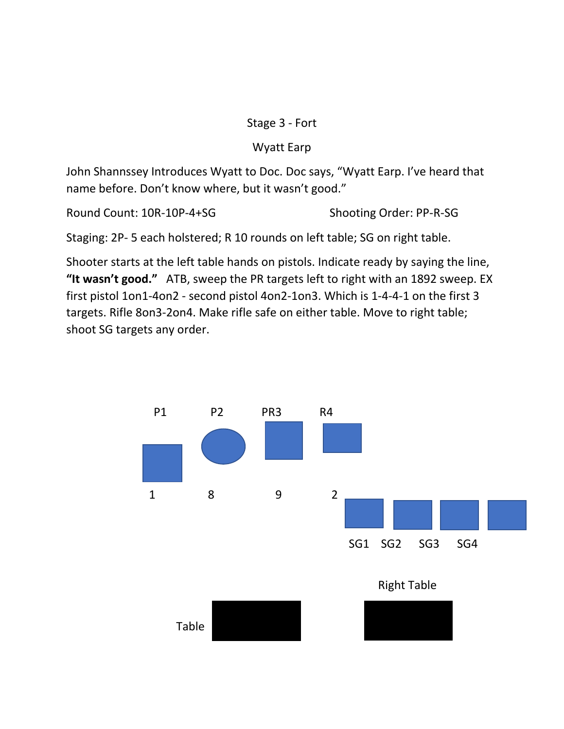### Stage 3 - Fort

## Wyatt Earp

John Shannssey Introduces Wyatt to Doc. Doc says, "Wyatt Earp. I've heard that name before. Don't know where, but it wasn't good."

Round Count: 10R-10P-4+SG Shooting Order: PP-R-SG

Staging: 2P- 5 each holstered; R 10 rounds on left table; SG on right table.

Shooter starts at the left table hands on pistols. Indicate ready by saying the line, **"It wasn't good."** ATB, sweep the PR targets left to right with an 1892 sweep. EX first pistol 1on1-4on2 - second pistol 4on2-1on3. Which is 1-4-4-1 on the first 3 targets. Rifle 8on3-2on4. Make rifle safe on either table. Move to right table; shoot SG targets any order.

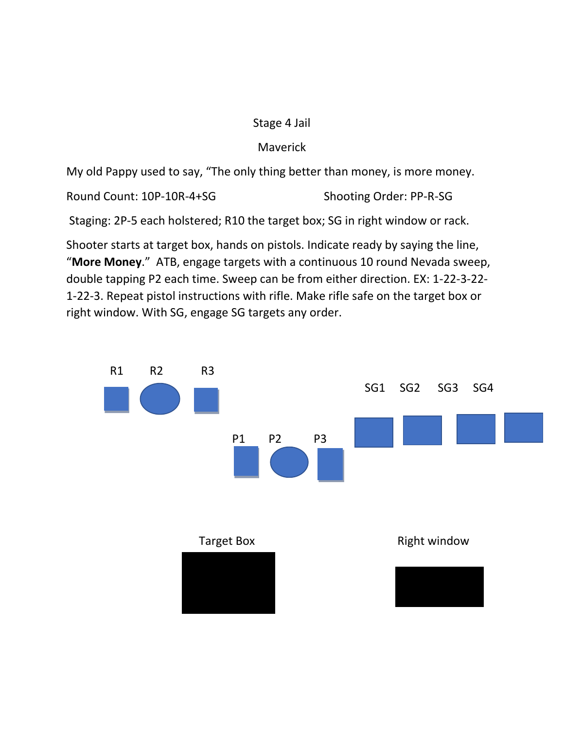#### Stage 4 Jail

### Maverick

My old Pappy used to say, "The only thing better than money, is more money.

Round Count: 10P-10R-4+SG Shooting Order: PP-R-SG

Staging: 2P-5 each holstered; R10 the target box; SG in right window or rack.

Shooter starts at target box, hands on pistols. Indicate ready by saying the line, "**More Money**." ATB, engage targets with a continuous 10 round Nevada sweep, double tapping P2 each time. Sweep can be from either direction. EX: 1-22-3-22- 1-22-3. Repeat pistol instructions with rifle. Make rifle safe on the target box or right window. With SG, engage SG targets any order.

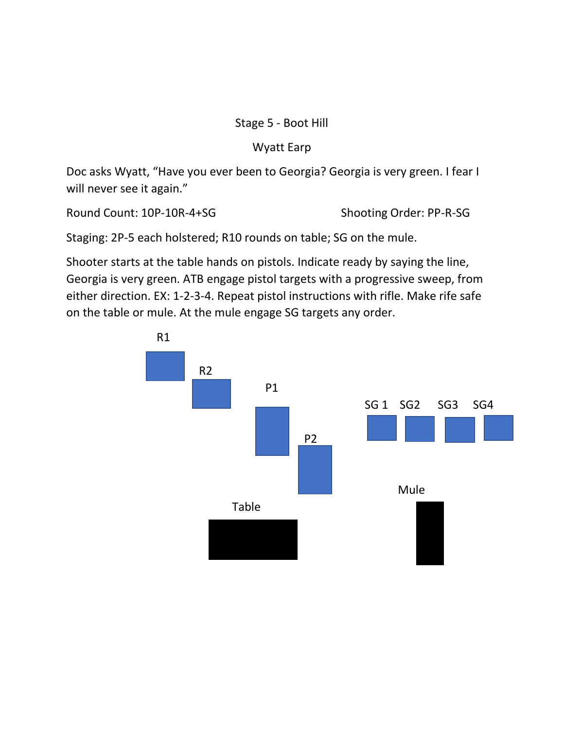### Stage 5 - Boot Hill

## Wyatt Earp

Doc asks Wyatt, "Have you ever been to Georgia? Georgia is very green. I fear I will never see it again."

Round Count: 10P-10R-4+SG Shooting Order: PP-R-SG

Staging: 2P-5 each holstered; R10 rounds on table; SG on the mule.

Shooter starts at the table hands on pistols. Indicate ready by saying the line, Georgia is very green. ATB engage pistol targets with a progressive sweep, from either direction. EX: 1-2-3-4. Repeat pistol instructions with rifle. Make rife safe on the table or mule. At the mule engage SG targets any order.